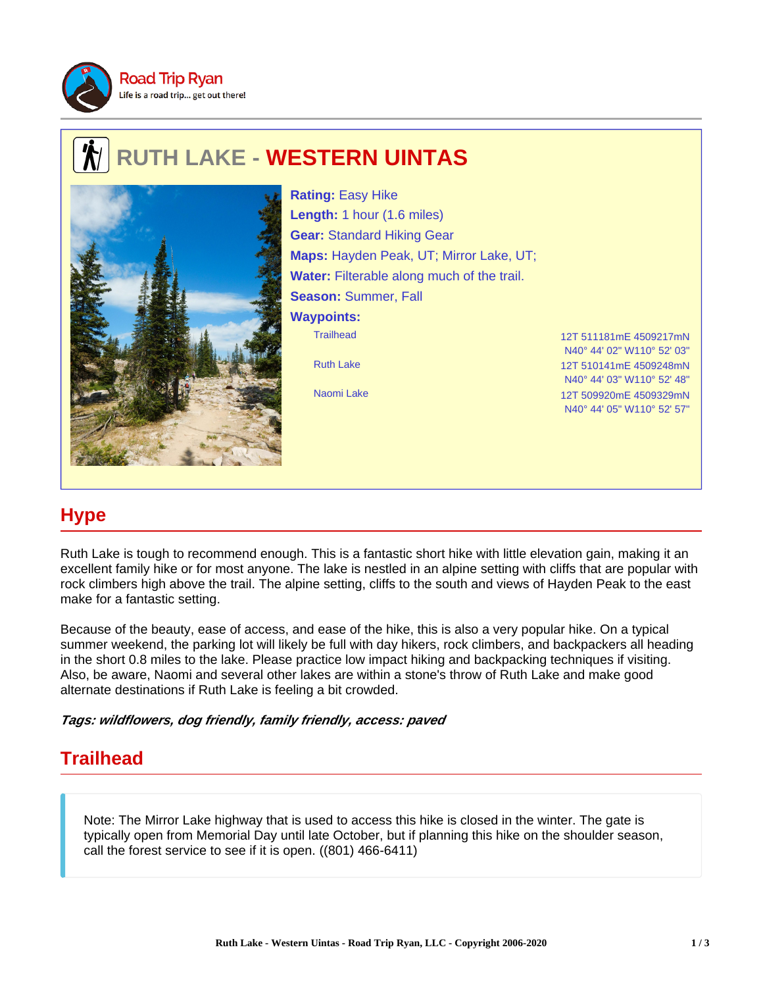

## **RUTH LAKE - WESTERN UINTAS**



Trailhead 12T 511181mE 4509217mN Ruth Lake 12T 510141mE 4509248mN **Rating:** Easy Hike **Length:** 1 hour (1.6 miles) **Gear:** Standard Hiking Gear **Maps:** Hayden Peak, UT; Mirror Lake, UT; **Water:** Filterable along much of the trail. **Season:** Summer, Fall **Waypoints:**

N40° 44' 02" W110° 52' 03" N40° 44' 03" W110° 52' 48" Naomi Lake 12T 509920mE 4509329mN N40° 44' 05" W110° 52' 57"

## **Hype**

Ruth Lake is tough to recommend enough. This is a fantastic short hike with little elevation gain, making it an excellent family hike or for most anyone. The lake is nestled in an alpine setting with cliffs that are popular with rock climbers high above the trail. The alpine setting, cliffs to the south and views of Hayden Peak to the east make for a fantastic setting.

Because of the beauty, ease of access, and ease of the hike, this is also a very popular hike. On a typical summer weekend, the parking lot will likely be full with day hikers, rock climbers, and backpackers all heading in the short 0.8 miles to the lake. Please practice low impact hiking and backpacking techniques if visiting. Also, be aware, Naomi and several other lakes are within a stone's throw of Ruth Lake and make good alternate destinations if Ruth Lake is feeling a bit crowded.

**Tags: wildflowers, dog friendly, family friendly, access: paved**

## **Trailhead**

Note: The Mirror Lake highway that is used to access this hike is closed in the winter. The gate is typically open from Memorial Day until late October, but if planning this hike on the shoulder season, call the forest service to see if it is open. ((801) 466-6411)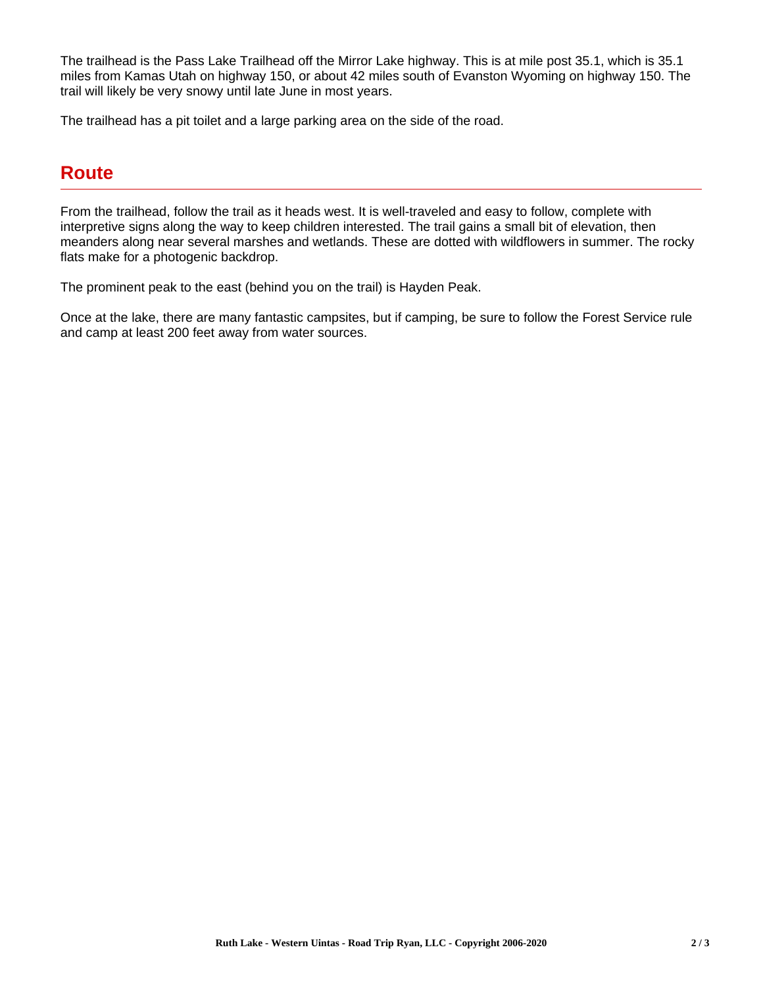The trailhead is the Pass Lake Trailhead off the Mirror Lake highway. This is at mile post 35.1, which is 35.1 miles from Kamas Utah on highway 150, or about 42 miles south of Evanston Wyoming on highway 150. The trail will likely be very snowy until late June in most years.

The trailhead has a pit toilet and a large parking area on the side of the road.

## **Route**

From the trailhead, follow the trail as it heads west. It is well-traveled and easy to follow, complete with interpretive signs along the way to keep children interested. The trail gains a small bit of elevation, then meanders along near several marshes and wetlands. These are dotted with wildflowers in summer. The rocky flats make for a photogenic backdrop.

The prominent peak to the east (behind you on the trail) is Hayden Peak.

Once at the lake, there are many fantastic campsites, but if camping, be sure to follow the Forest Service rule and camp at least 200 feet away from water sources.